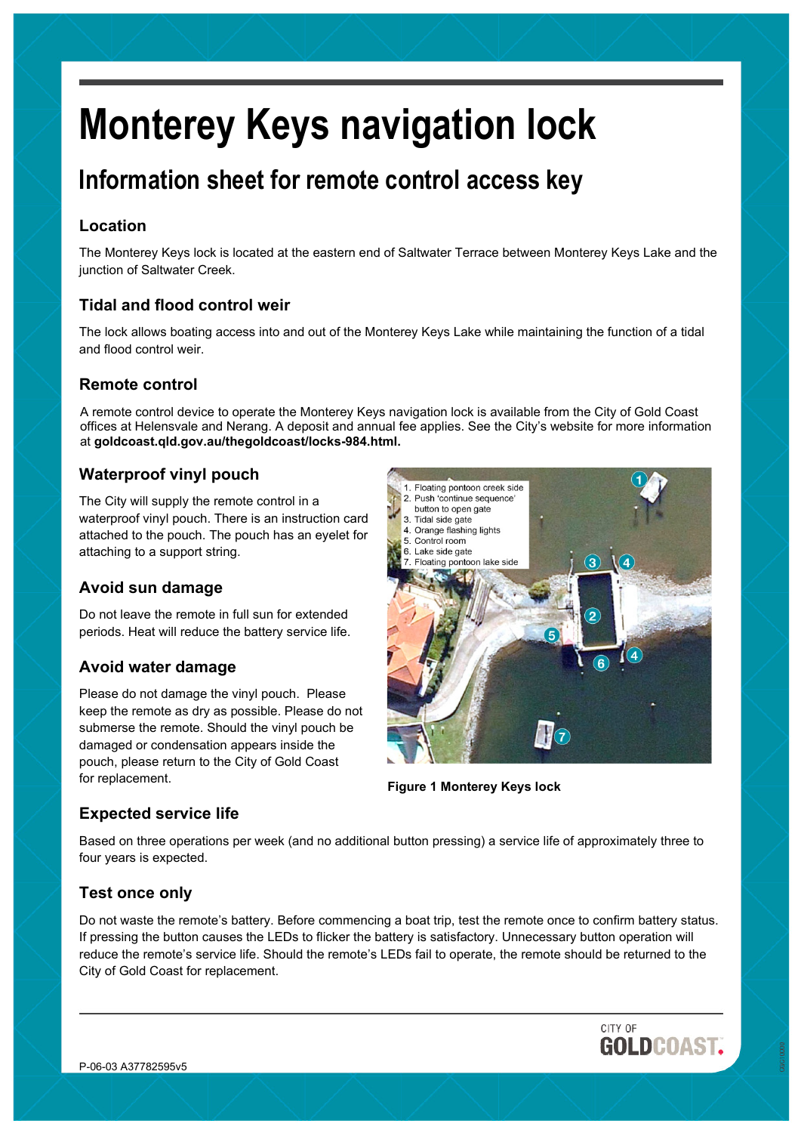# **Monterey Keys navigation lock**

# **Information sheet for remote control access key**

# **Location**

The Monterey Keys lock is located at the eastern end of Saltwater Terrace between Monterey Keys Lake and the junction of Saltwater Creek.

# **Tidal and flood control weir**

The lock allows boating access into and out of the Monterey Keys Lake while maintaining the function of a tidal and flood control weir.

# **Remote control**

A remote control device to operate the Monterey Keys navigation lock is available from the City of Gold Coast offices at Helensvale and Nerang. A deposit and annual fee applies. See the City's website for more information at **goldcoast.qld.gov.au/thegoldcoast/locks-984.html.**

# **Waterproof vinyl pouch**

The City will supply the remote control in a waterproof vinyl pouch. There is an instruction card attached to the pouch. The pouch has an eyelet for attaching to a support string.

# **Avoid sun damage**

Do not leave the remote in full sun for extended periods. Heat will reduce the battery service life.

# **Avoid water damage**

Please do not damage the vinyl pouch. Please keep the remote as dry as possible. Please do not submerse the remote. Should the vinyl pouch be damaged or condensation appears inside the pouch, please return to the City of Gold Coast for replacement.



**Figure 1 Monterey Keys lock**

# **Expected service life**

Based on three operations per week (and no additional button pressing) a service life of approximately three to four years is expected.

# **Test once only**

Do not waste the remote's battery. Before commencing a boat trip, test the remote once to confirm battery status. If pressing the button causes the LEDs to flicker the battery is satisfactory. Unnecessary button operation will reduce the remote's service life. Should the remote's LEDs fail to operate, the remote should be returned to the City of Gold Coast for replacement.

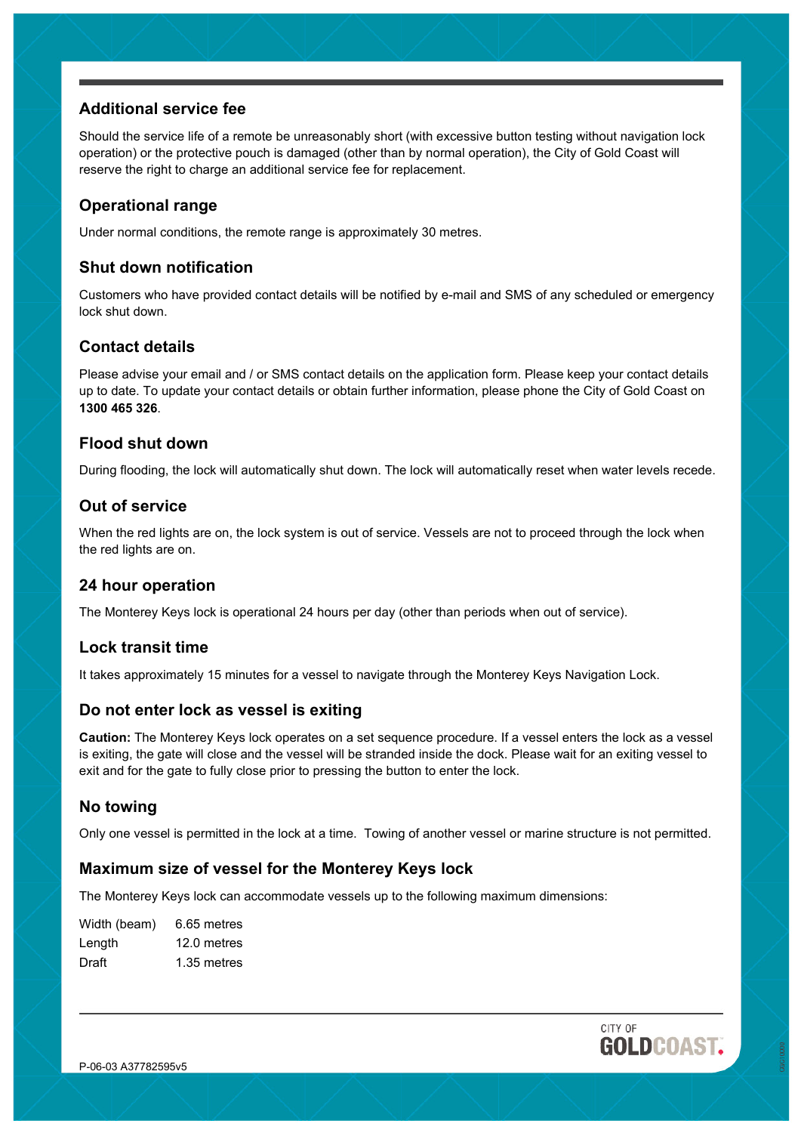# **Additional service fee**

Should the service life of a remote be unreasonably short (with excessive button testing without navigation lock operation) or the protective pouch is damaged (other than by normal operation), the City of Gold Coast will reserve the right to charge an additional service fee for replacement.

# **Operational range**

Under normal conditions, the remote range is approximately 30 metres.

# **Shut down notification**

Customers who have provided contact details will be notified by e-mail and SMS of any scheduled or emergency lock shut down.

# **Contact details**

Please advise your email and / or SMS contact details on the application form. Please keep your contact details up to date. To update your contact details or obtain further information, please phone the City of Gold Coast on **1300 465 326**.

#### **Flood shut down**

During flooding, the lock will automatically shut down. The lock will automatically reset when water levels recede.

# **Out of service**

When the red lights are on, the lock system is out of service. Vessels are not to proceed through the lock when the red lights are on.

#### **24 hour operation**

The Monterey Keys lock is operational 24 hours per day (other than periods when out of service).

# **Lock transit time**

It takes approximately 15 minutes for a vessel to navigate through the Monterey Keys Navigation Lock.

#### **Do not enter lock as vessel is exiting**

**Caution:** The Monterey Keys lock operates on a set sequence procedure. If a vessel enters the lock as a vessel is exiting, the gate will close and the vessel will be stranded inside the dock. Please wait for an exiting vessel to exit and for the gate to fully close prior to pressing the button to enter the lock.

# **No towing**

Only one vessel is permitted in the lock at a time. Towing of another vessel or marine structure is not permitted.

# **Maximum size of vessel for the Monterey Keys lock**

The Monterey Keys lock can accommodate vessels up to the following maximum dimensions:

| Width (beam) | 6.65 metres |
|--------------|-------------|
| Length       | 12.0 metres |
| Draft        | 1.35 metres |

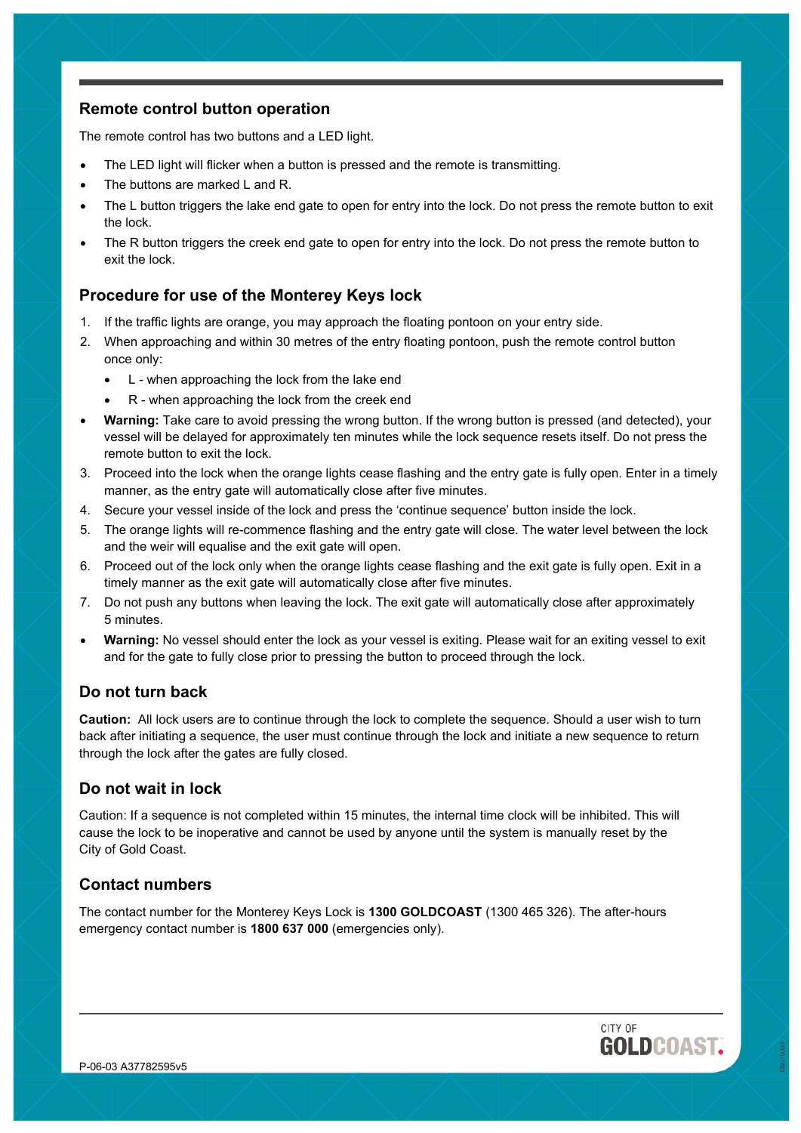# **Remote control button operation**

The remote control has two buttons and a LED light.

- The LED light will flicker when a button is pressed and the remote is transmitting.
- The buttons are marked L and R.
- The L button triggers the lake end gate to open for entry into the lock. Do not press the remote button to exit the lock.
- The R button triggers the creek end gate to open for entry into the lock. Do not press the remote button to exit the lock.

# **Procedure for use of the Monterey Keys lock**

- 1. If the traffic lights are orange, you may approach the floating pontoon on your entry side.
- 2. When approaching and within 30 metres of the entry floating pontoon, push the remote control button once only:
	- L when approaching the lock from the lake end
	- R when approaching the lock from the creek end
- **Warning:** Take care to avoid pressing the wrong button. If the wrong button is pressed (and detected), your vessel will be delayed for approximately ten minutes while the lock sequence resets itself. Do not press the remote button to exit the lock.
- 3. Proceed into the lock when the orange lights cease flashing and the entry gate is fully open. Enter in a timely manner, as the entry gate will automatically close after five minutes.
- 4. Secure your vessel inside of the lock and press the 'continue sequence' button inside the lock.
- 5. The orange lights will re-commence flashing and the entry gate will close. The water level between the lock and the weir will equalise and the exit gate will open.
- 6. Proceed out of the lock only when the orange lights cease flashing and the exit gate is fully open. Exit in a timely manner as the exit gate will automatically close after five minutes.
- 7. Do not push any buttons when leaving the lock. The exit gate will automatically close after approximately 5 minutes.
- **Warning:** No vessel should enter the lock as your vessel is exiting. Please wait for an exiting vessel to exit and for the gate to fully close prior to pressing the button to proceed through the lock.

#### **Do not turn back**

**Caution:** All lock users are to continue through the lock to complete the sequence. Should a user wish to turn back after initiating a sequence, the user must continue through the lock and initiate a new sequence to return through the lock after the gates are fully closed.

#### **Do not wait in lock**

Caution: If a sequence is not completed within 15 minutes, the internal time clock will be inhibited. This will cause the lock to be inoperative and cannot be used by anyone until the system is manually reset by the City of Gold Coast.

# **Contact numbers**

The contact number for the Monterey Keys Lock is **1300 GOLDCOAST** (1300 465 326). The after-hours emergency contact number is **1800 637 000** (emergencies only).

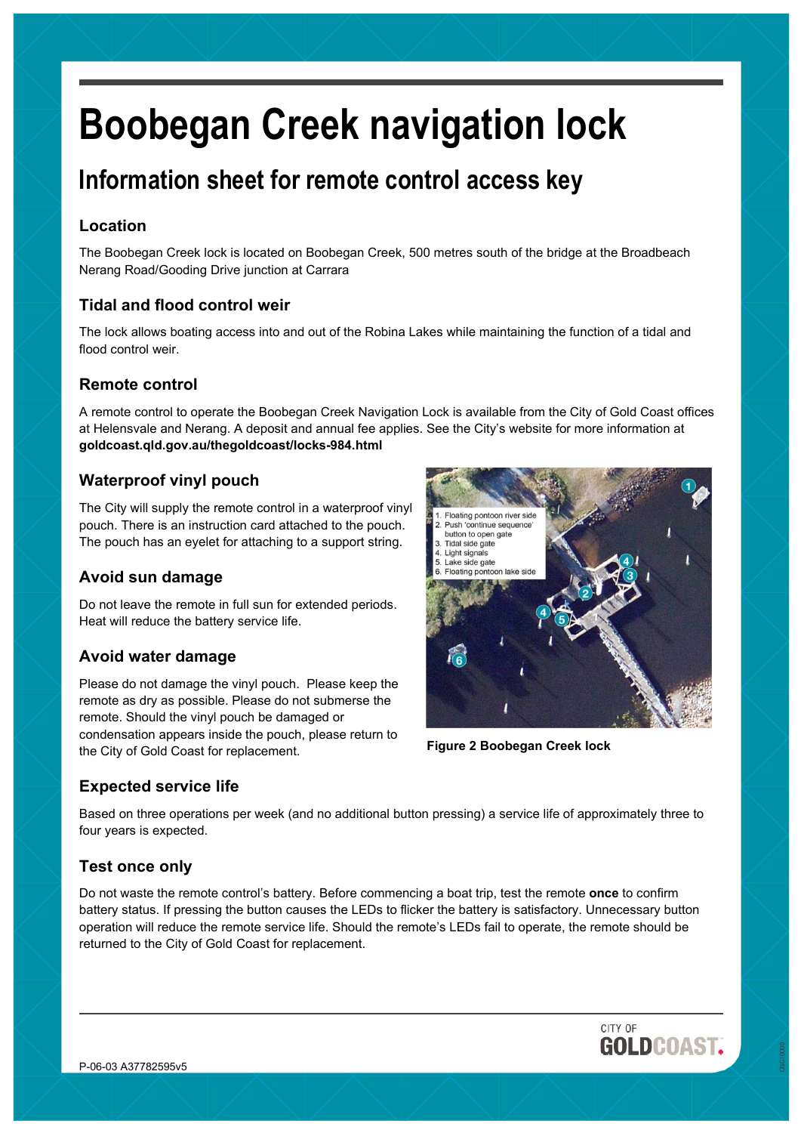# **Boobegan Creek navigation lock**

# **Information sheet for remote control access key**

# **Location**

The Boobegan Creek lock is located on Boobegan Creek, 500 metres south of the bridge at the Broadbeach Nerang Road/Gooding Drive junction at Carrara

# **Tidal and flood control weir**

The lock allows boating access into and out of the Robina Lakes while maintaining the function of a tidal and flood control weir.

# **Remote control**

A remote control to operate the Boobegan Creek Navigation Lock is available from the City of Gold Coast offices at Helensvale and Nerang. A deposit and annual fee applies. See the City's website for more information at **goldcoast.qld.gov.au/thegoldcoast/locks-984.html**

# **Waterproof vinyl pouch**

The City will supply the remote control in a waterproof vinyl pouch. There is an instruction card attached to the pouch. The pouch has an eyelet for attaching to a support string.

# **Avoid sun damage**

Do not leave the remote in full sun for extended periods. Heat will reduce the battery service life.

# **Avoid water damage**

Please do not damage the vinyl pouch. Please keep the remote as dry as possible. Please do not submerse the remote. Should the vinyl pouch be damaged or condensation appears inside the pouch, please return to the City of Gold Coast for replacement.



**Figure 2 Boobegan Creek lock**

# **Expected service life**

Based on three operations per week (and no additional button pressing) a service life of approximately three to four years is expected.

# **Test once only**

Do not waste the remote control's battery. Before commencing a boat trip, test the remote **once** to confirm battery status. If pressing the button causes the LEDs to flicker the battery is satisfactory. Unnecessary button operation will reduce the remote service life. Should the remote's LEDs fail to operate, the remote should be returned to the City of Gold Coast for replacement.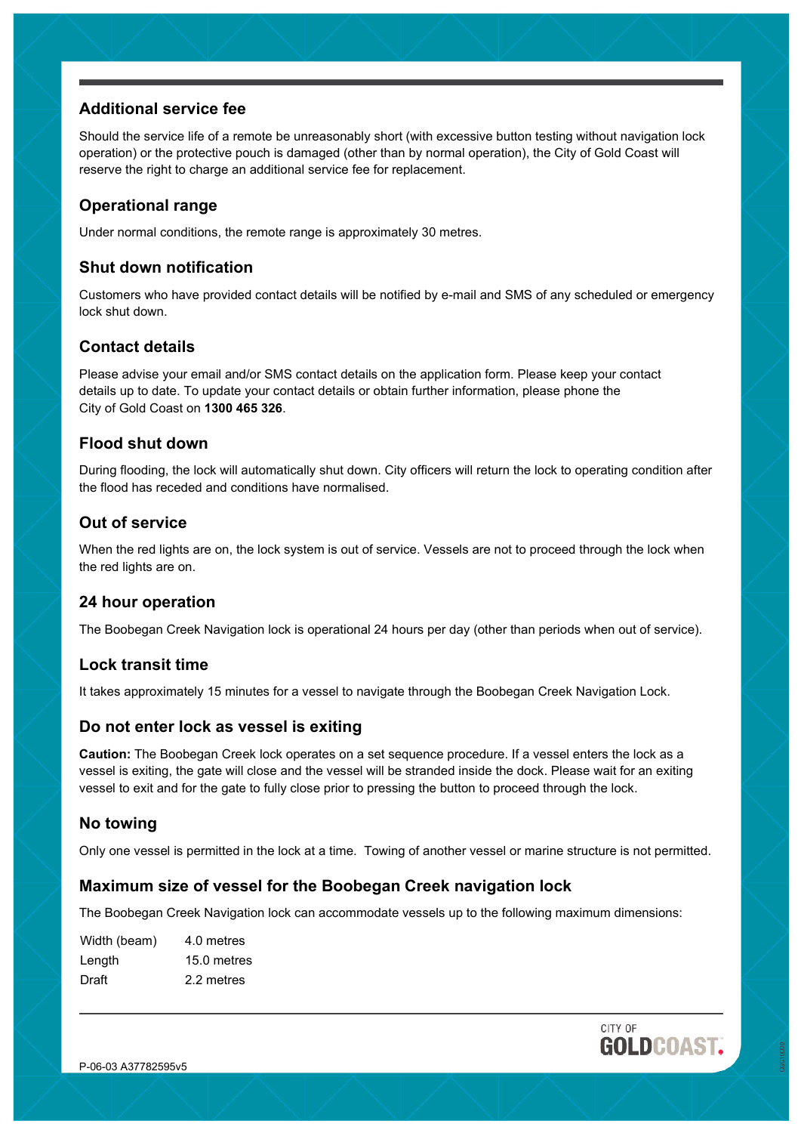# **Additional service fee**

Should the service life of a remote be unreasonably short (with excessive button testing without navigation lock operation) or the protective pouch is damaged (other than by normal operation), the City of Gold Coast will reserve the right to charge an additional service fee for replacement.

# **Operational range**

Under normal conditions, the remote range is approximately 30 metres.

# **Shut down notification**

Customers who have provided contact details will be notified by e-mail and SMS of any scheduled or emergency lock shut down.

# **Contact details**

Please advise your email and/or SMS contact details on the application form. Please keep your contact details up to date. To update your contact details or obtain further information, please phone the City of Gold Coast on **1300 465 326**.

#### **Flood shut down**

During flooding, the lock will automatically shut down. City officers will return the lock to operating condition after the flood has receded and conditions have normalised.

# **Out of service**

When the red lights are on, the lock system is out of service. Vessels are not to proceed through the lock when the red lights are on.

# **24 hour operation**

The Boobegan Creek Navigation lock is operational 24 hours per day (other than periods when out of service).

#### **Lock transit time**

It takes approximately 15 minutes for a vessel to navigate through the Boobegan Creek Navigation Lock.

# **Do not enter lock as vessel is exiting**

**Caution:** The Boobegan Creek lock operates on a set sequence procedure. If a vessel enters the lock as a vessel is exiting, the gate will close and the vessel will be stranded inside the dock. Please wait for an exiting vessel to exit and for the gate to fully close prior to pressing the button to proceed through the lock.

# **No towing**

Only one vessel is permitted in the lock at a time. Towing of another vessel or marine structure is not permitted.

# **Maximum size of vessel for the Boobegan Creek navigation lock**

The Boobegan Creek Navigation lock can accommodate vessels up to the following maximum dimensions:

| Width (beam) | 4.0 metres  |
|--------------|-------------|
| Length       | 15.0 metres |
| Draft        | 2.2 metres  |